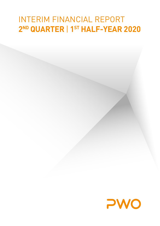# INTERIM FINANCIAL REPORT **2ND QUARTER** | **1ST HALF-YEAR 2020**

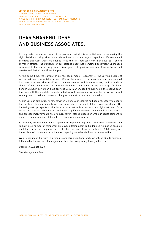## DEAR SHAREHOLDERS AND BUSINESS ASSOCIATES,

In the greatest economic slump of the post-war period, it is essential to focus on making the right decisions, being able to quickly reduce costs, and adjust capacities. We responded promptly and were therefore able to close the first half-year with a positive EBIT before currency effects. The structure of our balance sheet has remained essentially unchanged compared to the end of the previous fiscal year, with positive free cash flow in the second quarter and first six months of the year.

At the same time, the current crisis has again made it apparent of the varying degree of action that needs to be taken at our different locations. In the meantime, our international locations have been able to adjust to the new situation and, in some cases, the first positive signals of anticipated future business development are already starting to emerge. Our locations in China, in particular, have provided us with a very positive surprise in the second quarter. Even with the possibility of only muted overall economic growth in the future, we do not see any need to make fundamental changes to our structure internationally.

At our German site in Oberkirch, however, extensive measures had been necessary to ensure the location's lasting competitiveness, even before the start of the corona pandemic. The limited growth prospects at this location are met with an excessively high cost level. As a result, we have already begun to implement significant, ongoing reductions in material costs and process improvements. We are currently in intense discussion with our social partners to make the adjustments in staff costs that are now also necessary.

At present, we can only adjust capacity by implementing short-time work schedules and reducing our number of temporary employees. Compulsory redundancies will not be possible until the end of the supplementary collective agreement on December 31, 2020. Alongside these discussions, we are nevertheless preparing ourselves to be able to take action.

We are confident that with this resolute and structured approach, we will be able to successfully master the current challenges and steer the Group safely through the crisis.

Oberkirch, August 2020

The Management Board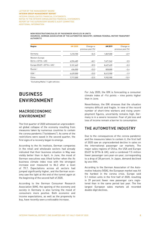NEW REGISTRATIONS/SALES OF PASSENGER VEHICLES IN UNITS (SOURCES: GERMAN ASSOCIATION OF THE AUTOMOTIVE INDUSTRY, GERMAN FEDERAL MOTOR TRANSPORT **AUTHORITY)** 

| Region                                 | 6M 2020   | Change vs<br>previous year [%] | 6M 2019   | Change vs<br>previous year (%) |
|----------------------------------------|-----------|--------------------------------|-----------|--------------------------------|
| Germany                                | 1,210,700 | $-34.5$                        | 1,849,000 | $+2.9$                         |
| Western Europe                         |           |                                |           |                                |
| $[EU14 + EFTA + UK]$                   | 4,594,489 | $-40.1$                        | 7,671,542 | $-3.5$                         |
| Europe (EU27 + EFTA + UK) <sup>1</sup> | 5,101,669 | $-39.5$                        | 8,427,639 | $-0.3$                         |
| Russia <sup>2</sup>                    | 636,000   | $-23.3$                        | 828,800   | $-2.4$                         |
| USA <sup>2</sup>                       | 6,429,000 | $-23.5$                        | 8,412,900 | $-1.9$                         |
| China                                  | 7,717,000 | $-22.5$                        | 9,932,900 | $-13.9$                        |

1 Excluding Malta | 2 Light vehicles

## BUSINESS ENVIRONMENT

### MACROECONOMIC ENVIRONMENT

The first quarter of 2020 witnessed an unprecedented global collapse of the economy resulting from measures taken by numerous countries to contain the corona pandemic ("lockdowns"). As some of the restrictions were eased in the second quarter, the first signs of a recovery began to emerge.

According to the ifo Institute, German companies in the retail and wholesale sectors had already indicated that their business situation in May was visibly better than in April. In June, the mood of German executives was lifted further when the ifo business climate index rose with the strongest increase ever measured to 86.2 after a level of 79.7. Expectations across all sectors had jumped significantly higher, and the German economy saw the light at the end of the tunnel again at the beginning of the second half of 2020.

According to the German Consumer Research Association (GfK), the opening of the economy and society in Germany is also turning the mood of consumers more positive. Both economic and income expectations, as well as the propensity to buy, have recently seen a noticeable increase.

For July 2020, the GfK is forecasting a consumer climate index of -9.6 points – nine points higher than in June.

Nevertheless, the GfK stresses that the situation remains difficult and fragile. In view of the record number of short-time workers and rising unemployment figures, uncertainty remains high. Germany is in a severe recession. Fear of job loss and loss of income remain a barrier to consumption.

### THE AUTOMOTIVE INDUSTRY

Due to the consequences of the corona pandemic and the measures taken to contain it, the first half of 2020 saw an unprecedented decline in sales on the international passenger car markets. The major sales regions of China, the USA and Europe (EU27 & EFTA & UK), sold a combined 7.5 million fewer passenger cars year-on-year, corresponding to a drop of 28 percent. In Japan, demand declined by one-fifth.

According to the German Association of the Automotive Industry (VDA), the European market was hit the hardest in the corona crisis. Europe sold 5.1 million units in the first half of 2020, resulting in 39 percent fewer new passenger cars registered than in the same period last year. The five largest European sales markets all recorded double-digit declines.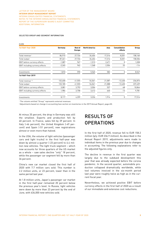#### SELECTED GROUP AND SEGMENT INFORMATION

| <b>EURK</b>                     |          |                                 |                      |        |                                 |         |
|---------------------------------|----------|---------------------------------|----------------------|--------|---------------------------------|---------|
| 1st Half-Year 2020              | Germany  | <b>Rest of</b><br><b>Europe</b> | <b>North America</b> | Asia   | <b>Consolidation</b><br>effects | Group   |
| Total revenue 1                 | 86,915   | 27,726                          | 34,404               | 17,316 | $-8,201$                        | 158,160 |
| Total output                    | 87,261   | 27,726                          | 34,404               | 17,316 | $-8,201$                        | 158,506 |
| EBIT before currency effects    | $-1,087$ | 967                             | $-1,513$             | 2,671  | 0                               | 1,038   |
| EBIT including currency effects | $-2,265$ | 962                             | $-1,368$             | 2,504  | 53                              | $-114$  |
| Investments                     | 1,810    | 590                             | 5,565                | 582    | 0                               | 8,547   |
| 1st Half-Year 2019              |          |                                 |                      |        |                                 |         |
| Total revenue 1,2               | 132,600  | 41,555                          | 54,061               | 21,087 | $-12,430$                       | 236,873 |
| Total output                    | 133,185  | 41,555                          | 54,061               | 21,088 | $-12,430$                       | 237,459 |
| EBIT before currency effects    | 3,081    | 3,792                           | 3,504                | 537    | -68                             | 10,846  |
| EBIT including currency effects | 1,984    | 3,758                           | 3,412                | 640    | $-13$                           | 9,781   |
| Investments                     | 8,117    | 4,259                           | 3,226                | 1,914  | 0                               | 17,516  |

<sup>1</sup> The column entitled "Group" represents external revenues.

2 Adjustments based on change in accounting (see section on inventories in the 2019 Annual Report, page 65).

At minus 35 percent, the drop in Germany was still the smallest. Exports and production fell by 40 percent. In France, sales fell by 39 percent. In Italy (-46 percent), the United Kingdom (-49 percent) and Spain (-51 percent), new registrations almost or even more than halved.

In the USA, the volume of light vehicles (passenger cars and light trucks) in the first half-year was down by almost a quarter (-23 percent) to 6.4 million new vehicles. The light truck segment – which now accounts for three quarters of the US market as a whole – saw sales decline "only" 18 percent, while the passenger car segment fell by more than 36 percent.

China's new car market closed the first half of 2020 with 7.7 million cars sold. This number is 2.2 million units, or 23 percent, lower than in the same period last year.

At 1.8 million units, Japan's passenger car market in the first half-year remained 20 percent below the previous year's level. In Russia, light vehicles were down by more than 23 percent by the end of June, with 636,000 new vehicles sold.

## RESULTS OF **OPERATIONS**

In the first half of 2020, revenue fell to EUR 158.2 million (p/y: EUR 236.9 million). As described in the Annual Report 2019, adjustments were made to individual items in the previous year due to changes in accounting. The following explanations refer to the adjusted figures only.

The decline in revenue in the first quarter was largely due to the subdued development this year that was already expected before the corona pandemic. In the second quarter, automobile production collapsed dramatically worldwide, while tool volumes invoiced in the six-month period last year were roughly twice as high as in the current fiscal year.

Nevertheless, we achieved positive EBIT before currency effects in the first half of 2020 as a result of our immediate and extensive cost reductions.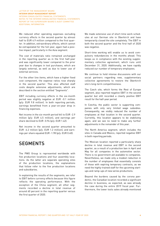We reduced other operating expenses excluding currency effects in the second quarter by almost half to EUR 4.9 million compared to the first quarter. In addition, extraordinary effects, which cannot be extrapolated for the full year, again had a positive impact, particularly in the Asia segment.

The cost of materials ratio remained unchanged in the reporting quarter as in the first half-year and was significantly lower compared to the prior year due to changes in tool purchases, which are largely external, as well as due to lower use of external services.

For the other line items, which have a higher fixed cost component, the expense ratios rose sharply in the second quarter. This also affected staff costs despite extensive adjustments, which are described in the section entitled "Segments".

EBIT including currency effects in the six-month period was slightly negative at EUR -0.1 million (p/y: EUR 9.8 million). In both reporting periods, earnings benefitted from a year-on-year drop in financing expenses.

Net income in the six-month period fell to EUR -2.9 million (p/y: EUR 4.5 million), and earnings per share declined to EUR -0.94 (p/y: EUR 1.42).

Net income in the second quarter amounted to EUR -6.2 million (p/y: EUR 1.2 million), and earnings per share equaled EUR -1.98 (p/y: EUR 0.40).

### **SEGMENTS**

The PWO Group is represented worldwide with five production locations and four assembly locations. As the latter are separate operating sites of the production locations, the explanations that follow refer to the five production locations and subsidiaries.

In explaining the results of the segments, we refer to EBIT before currency effects because this figure reflects the operating performance. With the exception of the China segment, all other segments recorded a decline in total revenue of around 60 percent in the reporting quarter versus the first quarter of 2020.

We made extensive use of short-time work schedules at our German site in Oberkirch and have temporarily closed the site completely. The EBIT in both the second quarter and the first half of 2020 was negative.

Short-time working will enable us to avoid compulsory redundancies in the months ahead. This keeps us in compliance with the existing supplementary collective agreement, which runs until December 31, 2020. Additionally, we have rapidly reduced our number of temporary employees.

We continue to hold intense discussions with our social partners regarding new, supplementary collective agreements to restore the Oberkirch site's long-term competitiveness.

The Czech site, which forms the Rest of Europe segment, also reported negative EBIT in the second quarter but still recorded a clearly positive EBIT result for the half-year period.

In Czechia, the public sector is supporting companies with only very limited wage subsidies. Consequently, we visibly reduced the number of employees at that location in the second quarter. Currently, this location appears to be stabilizing again, and we see no need to make any further adjustments in the remainder of this year.

The North America segment, which includes the sites in Canada and Mexico, reported negative EBIT in both reporting periods.

The Mexican location reported a particularly sharp decline in total revenue and EBIT in the second quarter, as a result of a production ban in April and May for all companies in the automotive sector. There is no government aid available to companies. Nevertheless, we made only a modest reduction in the number of employees that essentially consists of those with expiring temporary contracts, as we need the highly-trained staff for the upcoming startups and ramp-ups of new series productions.

Beyond the burdens caused by the corona pandemic, the Canadian location recorded a significant decline in business, as expected, as was already the case during the entire 2019 fiscal year. Furthermore, the lower tools sales already mentioned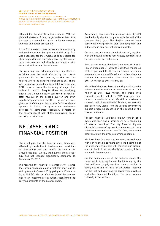affected this location to a large extent. With the planned start-up of new, large series orders, this location is expected to return to higher revenue volumes and better profitability.

In the first quarter, it was necessary to temporarily reduce the number of employees significantly. This was necessary for the employees to be eligible for state support under Canadian law. By the end of June, however, we had already been able to reinstate a significant number of them.

The Asia segment, which comprises our Chinese activities, was the most affected by the corona pandemic in the first quarter, as this was the regions where the pandemic first broke out. There was a positive impact on both total revenue and EBIT however from the invoicing of major tool orders in March. Despite these extraordinary effects, the Chinese location confirmed this level of total revenue in the second quarter and even significantly increased its EBIT. This performance gives us confidence in this location's future development. In China, the government assistance provided to companies essentially consists of the assumption of half of the employees' social security contributions.

## NET ASSETS AND FINANCIAL POSITION

The development of the balance sheet items was affected by the decline in business, our restriction of investments and our efforts to secure the Group's liquidity. Overall, the balance sheet structure has not changed significantly compared to December 31, 2019.

In preparing the financial statements, we viewed the corona pandemic as an event that may lead to an impairment of assets ("triggering event" according to IAS 36). We therefore subjected the companies to an impairment test, which reconfirmed the carrying amounts on the balance sheet.

Accordingly, non-current assets as of June 30, 2020 declined only slightly compared with the end of the previous fiscal year. The decline resulted from somewhat lower property, plant and equipment and a decrease in non-current contract assets.

Current contract assets also declined and, together with the decline in trade receivables, contributed to the decrease in current assets.

Total assets overall declined from EUR 391.6 million on December 31, 2019 to EUR 379.5 million as of the reporting date. This decline would have been even more pronounced if cash and cash equivalents had not had a reporting date-related rise from EUR 1.4 million to EUR 18.6 million.

We utilized the lower level of working capital on the balance sheet to reduce net debt from EUR 132.5 million to EUR 122.5 million. The credit lines committed at the end of the 2019 fiscal year continue to be available in full. We still have extensive unused credit lines available. To date, we have not applied for any loans from the various government support programs launched in the context of the corona pandemic.

Present financial liabilities mainly consist of a syndicated loan and a promissory note consisting of several tranches. The key financial figures (financial covenants) agreed in the context of these liabilities were met as of June 30, 2020, despite the deterioration in the Group's earnings position.

We have been in close and constructive exchange with our financing partners since the beginning of the economic crisis and will continue our discussions in light of the uncertainty surrounding future economic developments.

On the liabilities side of the balance sheet, the reduction in total equity and liabilities during the first half-year largely resulted from a decline in equity due to the net loss for the period reported for the first half-year, and the lower trade payables and other financial liabilities. The latter relates primarily to derivatives.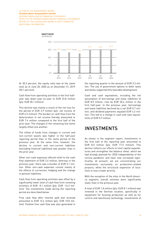

At 30.3 percent, the equity ratio was at the same level as of June 30, 2020 as on December 31, 2019 (30.1 percent).

Cash flow from operating activities in the first halfyear was down year-on-year to EUR 23.8 million (p/y: EUR 30.1 million).

This decline was mainly a result of the net loss for the period of EUR 2.9 million (p/y: net income of EUR 4.5 million). The burden on cash flow from the deterioration in net income thereby amounted to EUR 7.4 million compared to the first half of the prior year. The changes in the remaining line items largely offset one another.

The inflow of funds from changes in current and non-current assets was higher in the half-year reporting period than in the same period of the previous year. At the same time, however, the decline in current and non-current liabilities (excluding financial liabilities) was greater than in the prior year.

Other non-cash expenses offered relief to the cash flow statement of EUR 2.6 million, whereas in the previous year, there was a burden of EUR 5.1 million. Other non-cash expenses consist mainly of the effects of currencies, hedging and the change in pension liabilities.

Cash flow from operating activities was offset by a significantly lower level of cash flow from investing activities of EUR -8.1 million (p/y: EUR -16.3 million). The investments made during the reporting period are described below.

Free cash flow after interest paid and received amounted to EUR 12.4 million (p/y: EUR 10.8 million). Positive free cash flow was also generated in

the reporting quarter in the amount of EUR 3.3 million. The use of government options to defer taxes and duties supported this favorable development.

Cash and cash equivalents, including the net assumption of borrowings and lease liabilities of EUR 8.0 million, rose by EUR 20.4 million in the first half-year. In the previous year, borrowings and lease liabilities declined by a net EUR 0.7 million, and dividend payments equaled EUR 4.2 million. This led to a change in cash and cash equivalents of EUR 5.9 million.

### INVESTMENTS

As shown in the segment report, investments in the first half of the reporting year amounted to EUR 8.5 million (p/y: EUR 17.5 million). This decline reflects our efforts to limit capital expenditures and strengthen the balance sheet, which we had already planned for 2020 independently of the corona pandemic and have now increased significantly. At present, we are concentrating our investments exclusively on production-related projects, while the structural expansion of locations is now a lower priority.

With the exception of the sites in the North America segment, overall volumes were significantly lower than in the previous year.

A total of EUR 1.8 million (p/y: EUR 8.1 million) was invested in the German location, specifically in equipment for housing production as well as for control and warehouse technology. Investments of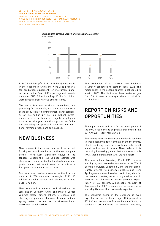

**NEW BUSINESS (LIFETIME VOLUME OF SERIES AND TOOL ORDERS)** IN EUR MILLION

EUR 0.6 million (p/y: EUR 1.9 million) were made in the locations in China and were used primarily for production equipment for instrument panel carriers. In the Rest of Europe segment, investments of EUR 0.6 million (p/y: EUR 4.3 million) were spread across various smaller items.

The North American locations, in contrast, are preparing for the coming start-ups and ramp-ups of the production of new instrument panel carriers. At EUR 5.6 million (p/y: EUR 3.2 million), investments in these locations were significantly higher than in the prior year. Additional production facilities are being set up in both countries, and additional forming presses are being added.

## NEW BUSINESS

New business in the second quarter of the current fiscal year was limited due to the corona pandemic. There were significant delays in the tenders. Despite this, our Chinese location was able to win a major order for the development and production of instrument panel carriers from a European automobile manufacturer.

Our total new business volume in the first six months of 2020 amounted to roughly EUR 160 million, including related tool volumes of a good EUR 10 million.

New orders will be manufactured primarily at the locations in Germany, China and Mexico. Larger volumes relate, among others, to chassis and steering components, electronic braking and air spring systems, as well as the aforementioned instrument panel carriers.

The production of our current new business is largely scheduled to start in fiscal 2022. The major order in the second quarter is scheduled to start in 2023. The lifetime of these series ranges from 5 to 8 years on average, which is typical for our business.

## REPORT ON RISKS AND OPPORTUNITIES

The opportunities and risks for the development of the PWO Group and its segments presented in the 2019 Annual Report remain valid.

The consequences of the corona pandemic continue to shape economic developments. In the meantime, efforts are being made to return to normality in all social and economic areas. Nevertheless, it is becoming increasingly clear that our new normality will look different from what we had before.

The International Monetary Fund (IMF) is also warning against excessive optimism. In its World Economic Outlook, updated in June, the IMF significantly lowered its economic expectations from April again and now, based on preliminary data for the second quarter, expects a global economic downturn of -4.9 percent versus previous expectation of -3.0 percent. A noticeable recovery of 5.4 percent in 2021 is expected, however, this is also slightly lower than previously expected.

The economic slump in the eurozone is even expected to reach a double-digit -10.2 percent in 2020. Countries such as France, Italy and Spain, in particular, are suffering the steepest declines,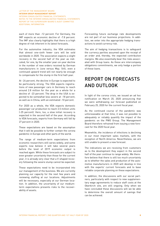each of more than -12 percent. For Germany, the IMF expects an economic decline of -7.8 percent. The IMF also clearly highlights that there is a high degree of risk inherent in its latest forecasts.

For the automotive industry, the VDA estimates that almost one-sixth fewer cars will be sold worldwide in 2020. The association expects a slight recovery in the second half of the year as indicated, for one, by the smaller year-on-year decline in the number of new orders received by German manufacturers in June versus May. Still, even a continued upward trend will not nearly be enough to compensate for the slump in the first half-year.

At -24 percent, the decline in Europe is expected to be particularly strong. The VDA expects registrations of new passenger cars in Germany to reach around 2.8 million for the year as a whole for a decline of -23 percent. The drop in the USA is expected to be somewhat less severe at -18 percent, as well as in China, with an estimated -10 percent.

For 2020 as a whole, the VDA expects domestic passenger car production to reach 3.5 million units (-25 percent). Here, too, a slow initial recovery is expected in the second half of the year. According to VDA forecasts, exports from Germany will fall by 27 percent in 2020.

These expectations are based on the assumption that it will be possible to further contain the corona pandemic in Europe and other parts of the world.

The range of medium-term expectations from economic researchers still varies widely, and some experts now believe it will take several years before the level of 2019 economic output is reached again. While these forecasts are subject to even greater uncertainty than those for the current year, it is already very clear that a V-shaped recovery following the severe slump cannot be expected.

These expectations need to be incorporated into our management of the business. We are currently planning our capacity for the next few years and reviewing staffing at our locations. Adjustments will be necessary, especially at our German location. In addition, the uncertainty of our mediumterm expectations presents risks to the recoverability of assets.

Forecasting future exchange rate developments are not part of our business projections. In addition, we enter into the appropriate hedging transactions to avoid currency risk.

The aim of hedging transactions is to safeguard the currency parities assumed upon the receipt of an order and, thereby, the expected contribution margins. We also essentially bear the risks associated with Group loans. As these are intercompany obligations commitments, we only hedge a portion of these loans.

## REPORT ON FORECASTS AND OUTLOOK

In light of the corona crisis, we issued an ad hoc notification on March 20, 2020 announcing that we were withdrawing our forecast published on February 25, 2020 for the current fiscal year.

As the continued course of the pandemic was unforeseeable at that time, it was not possible to adequately or reliably quantify the impact of the pandemic on the PWO Group. The Management Board therefore refrained from issuing a new forecast for the 2020 fiscal year.

Meanwhile, the incidence of infections is declining in our most important sales markets, with the exception of North America. Nevertheless, we are still unable to present a new forecast.

The indications we are receiving from customers as to the development they expect in the second half of the year continue to range widely. We therefore believe that there is still too much uncertainty as to whether the sales and production of the automotive manufacturers in 2020 will develop in line with the experts' current forecasts and to base reliable corporate planning on these expectations.

In addition, the discussions with our social partners, particularly with respect to new supplementary wage agreements to reduce staff costs at the Oberkirch site, are still ongoing. Only when we have concluded these discussions will we be able to determine the overall amount of savings that can be achieved.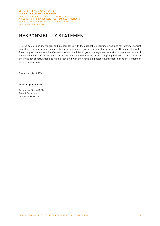## RESPONSIBILITY STATEMENT

"To the best of our knowledge, and in accordance with the applicable reporting principles for interim financial reporting, the interim consolidated financial statements give a true and fair view of the Group's net assets, financial position and results of operations, and the interim group management report provides a fair review of the development and performance of the business and the position of the Group together with a description of the principal opportunities and risks associated with the Group's expected development during the remainder of the financial year."

Oberkirch, July 20, 2020

The Management Board

Dr. Volker Simon (CEO) Bernd Bartmann Johannes Obrecht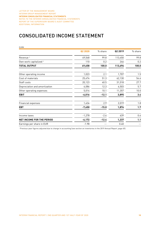## CONSOLIDATED INCOME STATEMENT

| <b>EURK</b>                       |          |         |         |         |
|-----------------------------------|----------|---------|---------|---------|
|                                   | Q2 2020  | % share | Q2 2019 | % share |
| Revenue <sup>1</sup>              | 49,548   | 99.8    | 113,450 | 99.8    |
| Own work capitalized <sup>1</sup> | 110      | 0.2     | 246     | 0.2     |
| <b>TOTAL OUTPUT</b>               | 49,658   | 100.0   | 113,696 | 100.0   |
| Other operating income            | 1,023    | 2.1     | 1,707   | 1.5     |
| Cost of materials                 | 25,474   | 51.3    | 62,130  | 54.6    |
| Staff costs                       | 20,123   | 40.5    | 31,518  | 27.7    |
| Depreciation and amortization     | 6,086    | 12.3    | 6,503   | 5.7     |
| Other operating expenses          | 5,014    | 10.1    | 11,357  | 10.0    |
| <b>EBIT</b>                       | $-6,016$ | $-12.1$ | 3,895   | 3.4     |
| Financial expenses                | 1,434    | 2.9     | 2,019   | 1.8     |
| <b>EBT</b>                        | $-7,450$ | $-15.0$ | 1,876   | 1.7     |
| Income taxes                      | $-1,278$ | $-2.6$  | 639     | 0.6     |
| <b>NET INCOME FOR THE PERIOD</b>  | $-6,172$ | $-12.4$ | 1,237   | 1.1     |
| Earnings per share in EUR         | $-1.98$  |         | 0.40    |         |

<sup>1</sup> Previous-year figures adjusted due to change in accounting (see section on inventories in the 2019 Annual Report, page 65).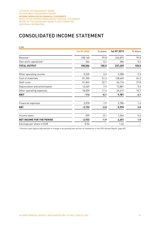## CONSOLIDATED INCOME STATEMENT

| <b>EURK</b>                       |                    |         |             |         |
|-----------------------------------|--------------------|---------|-------------|---------|
|                                   | <b>1st HY 2020</b> | % share | 1st HY 2019 | % share |
| Revenue <sup>1</sup>              | 158,160            | 99.8    | 236,873     | 99.8    |
| Own work capitalized <sup>1</sup> | 346                | 0.2     | 586         | 0.2     |
| <b>TOTAL OUTPUT</b>               | 158,506            | 100.0   | 237,459     | 100.0   |
| Other operating income            | 5,225              | 3.3     | 5,385       | 2.3     |
| Cost of materials                 | 81,355             | 51.3    | 128,649     | 54.2    |
| Staff costs                       | 51,862             | 32.7    | 66,116      | 27.8    |
| Depreciation and amortization     | 12,569             | 7.9     | 12,881      | 5.4     |
| Other operating expenses          | 18,059             | 11.4    | 25,417      | 10.7    |
| <b>EBIT</b>                       | $-114$             | $-0.1$  | 9,781       | 4.1     |
| Financial expenses                | 3,078              | 1.9     | 3,786       | 1.6     |
| <b>EBT</b>                        | $-3,192$           | $-2.0$  | 5,995       | 2.5     |
| Income taxes                      | $-259$             | $-0.1$  | 1,544       | 0.6     |
| <b>NET INCOME FOR THE PERIOD</b>  | $-2,933$           | $-1.9$  | 4,451       | 1.9     |
| Earnings per share in EUR         | $-0.94$            |         | 1.42        |         |

<sup>1</sup> Previous-year figures adjusted due to change in accounting (see section on inventories in the 2019 Annual Report, page 65).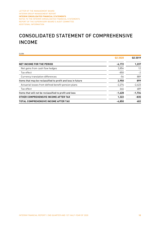## CONSOLIDATED STATEMENT OF COMPREHENSIVE INCOME

| <b>EURK</b>                                                 |                     |          |
|-------------------------------------------------------------|---------------------|----------|
|                                                             | Q <sub>2</sub> 2020 | 02 2019  |
| <b>NET INCOME FOR THE PERIOD</b>                            | $-6,172$            | 1,237    |
| Net gains from cash flow hedges                             | 3,854               | 12       |
| Tax effect                                                  | $-850$              | $-2$     |
| Currency translation differences                            | -54                 | 889      |
| Items that may be reclassified to profit and loss in future | 2,950               | 899      |
| Actuarial losses from defined benefit pension plans         | $-2.274$            | $-2,423$ |
| Tax effect                                                  | 646                 | 689      |
| Items that will not be reclassified to profit and loss      | $-1,628$            | $-1,734$ |
| OTHER COMPREHENSIVE INCOME AFTER TAX                        | 1,322               | $-835$   |
| <b>TOTAL COMPREHENSIVE INCOME AFTER TAX</b>                 | $-4.850$            | 402      |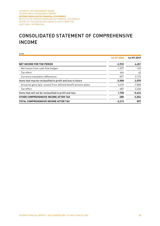## CONSOLIDATED STATEMENT OF COMPREHENSIVE INCOME

| <b>EURK</b>                                                      |                    |             |
|------------------------------------------------------------------|--------------------|-------------|
|                                                                  | <b>1st HY 2020</b> | 1st HY 2019 |
| <b>NET INCOME FOR THE PERIOD</b>                                 | $-2,933$           | 4,451       |
| Net losses from cash flow hedges                                 | $-1.577$           | $-145$      |
| Tax effect                                                       | 446                | 42          |
| Currency translation differences                                 | -877               | 2,173       |
| Items that may be reclassified to profit and loss in future      | $-2,008$           | 2,070       |
| Actuarial gains (p/y: losses) from defined benefit pension plans | 2,415              | $-7,858$    |
| Tax effect                                                       | -687               | 2,234       |
| Items that will not be reclassified to profit and loss           | 1,728              | $-5,624$    |
| OTHER COMPREHENSIVE INCOME AFTER TAX                             | $-280$             | $-3,554$    |
| <b>TOTAL COMPREHENSIVE INCOME AFTER TAX</b>                      | $-3,213$           | 897         |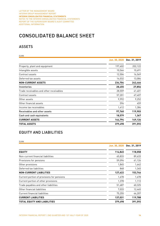## CONSOLIDATED BALANCE SHEET

### ASSETS

| <b>EURK</b>                             |               |               |
|-----------------------------------------|---------------|---------------|
|                                         | Jun. 30, 2020 | Dec. 31, 2019 |
| Property, plant and equipment           | 197,602       | 202,122       |
| Intangible assets                       | 10,566        | 10,691        |
| Contract assets                         | 12,504        | 16,569        |
| Deferred tax assets                     | 14,032        | 13,084        |
| <b>NON-CURRENT ASSETS</b>               | 234,704       | 242,466       |
| Inventories                             | 28,455        | 27,856        |
| Trade receivables and other receivables | 28,559        | 41,401        |
| Contract assets                         | 57,201        | 67,407        |
| Other assets                            | 9,992         | 9,252         |
| Other financial assets                  | 596           | 459           |
| Income tax receivables                  | 1,412         | 1,384         |
| Receivables and other assets            | 97,760        | 119,903       |
| Cash and cash equivalents               | 18,579        | 1,367         |
| <b>CURRENT ASSETS</b>                   | 144,794       | 149,126       |
| <b>TOTAL ASSETS</b>                     | 379,498       | 391,592       |

### EQUITY AND LIABILITIES

|--|

|                                            | Jun. 30, 2020 | Dec. 31, 2019 |
|--------------------------------------------|---------------|---------------|
| <b>EQUITY</b>                              | 114,845       | 118,058       |
| Non-current financial liabilities          | 65,833        | 89,633        |
| Provisions for pensions                    | 59,096        | 61,126        |
| Other provisions                           | 1,845         | 1,642         |
| Deferred tax liabilities                   | 848           | 1,345         |
| <b>NON-CURRENT LIABILITIES</b>             | 127,622       | 153,746       |
| Current portion of provisions for pensions | 1,678         | 1,678         |
| Current portion of other provisions        | 1,378         | 1,113         |
| Trade payables and other liabilities       | 51,687        | 60,325        |
| Other financial liabilities                | 7,033         | 12,465        |
| Current financial liabilities              | 75,255        | 44,207        |
| <b>CURRENT LIABILITIES</b>                 | 137,031       | 119,788       |
| <b>TOTAL EQUITY AND LIABILITIES</b>        | 379,498       | 391,592       |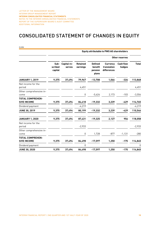## CONSOLIDATED STATEMENT OF CHANGES IN EQUITY

| <b>COLLEGE</b> |
|----------------|

|                                               |                            |                       |                             |                                               | <b>Equity attributable to PWO AG shareholders</b> |                            |              |
|-----------------------------------------------|----------------------------|-----------------------|-----------------------------|-----------------------------------------------|---------------------------------------------------|----------------------------|--------------|
|                                               |                            |                       |                             |                                               |                                                   | Other reserves             |              |
|                                               | Sub-<br>scribed<br>capital | Capital re-<br>serves | <b>Retained</b><br>earnings | <b>Defined</b><br>benefit<br>pension<br>plans | <b>Currency</b><br>translation<br>differences     | <b>Cash flow</b><br>hedges | <b>Total</b> |
| <b>JANUARY 1, 2019</b>                        | 9,375                      | 37,494                | 79,967                      | $-13,708$                                     | 1,066                                             | $-326$                     | 113,868      |
| Net income for the<br>period                  |                            |                       | 4,451                       |                                               |                                                   |                            | 4,451        |
| Other comprehensive in-<br>come               |                            |                       | $\pmb{0}$                   | $-5,624$                                      | 2,173                                             | $-103$                     | $-3,554$     |
| <b>TOTAL COMPREHEN-</b><br><b>SIVE INCOME</b> | 9,375                      | 37,494                | 84,418                      | -19,332                                       | 3,239                                             | -429                       | 114,765      |
| Dividend payment                              |                            |                       | $-4,219$                    |                                               |                                                   |                            | $-4,219$     |
| <b>JUNE 30, 2019</b>                          | 9,375                      | 37,494                | 80,199                      | $-19,332$                                     | 3,239                                             | $-429$                     | 110,546      |
| <b>JANUARY 1, 2020</b>                        | 9,375                      | 37,494                | 87,431                      | $-19,325$                                     | 2,127                                             | 956                        | 118,058      |
| Net income for the<br>period                  |                            |                       | $-2,933$                    |                                               |                                                   |                            | $-2,933$     |
| Other comprehensive in-<br>come               |                            |                       | $\mathbf 0$                 | 1,728                                         | $-877$                                            | $-1,131$                   | $-280$       |
| <b>TOTAL COMPREHEN-</b><br><b>SIVE INCOME</b> | 9,375                      | 37,494                | 84,498                      | $-17,597$                                     | 1,250                                             | $-175$                     | 114,845      |
| Dividend payment                              |                            |                       | 0                           |                                               |                                                   |                            | $\Omega$     |
| <b>JUNE 30, 2020</b>                          | 9,375                      | 37,494                | 84,498                      | $-17,597$                                     | 1,250                                             | $-175$                     | 114,845      |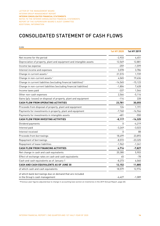## CONSOLIDATED STATEMENT OF CASH FLOWS

| <b>EURK</b>                                                                                |                    |             |
|--------------------------------------------------------------------------------------------|--------------------|-------------|
|                                                                                            | <b>1st HY 2020</b> | 1st HY 2019 |
| Net income for the period                                                                  | $-2,933$           | 4,451       |
| Depreciation of property, plant and equipment and intangible assets                        | 12,569             | 12,881      |
| Income tax expense                                                                         | $-259$             | $-1,599$    |
| Interest income and expenses                                                               | 3,078              | 3,786       |
| Change in current assets <sup>1</sup>                                                      | 21,515             | 1,739       |
| Change in non-current assets <sup>1</sup>                                                  | 4,065              | 19,636      |
| Change in current liabilities (excluding financial liabilities) <sup>1</sup>               | $-14,565$          | $-15,123$   |
| Change in non-current liabilities (excluding financial liabilities)                        | $-1,804$           | 7,628       |
| Income taxes paid                                                                          | -337               | 1,544       |
| Other non-cash expenses                                                                    | 2,566              | $-5,116$    |
| Gains (p/y: losses) on disposal of property, plant and equipment                           | $-114$             | 228         |
| <b>CASH FLOW FROM OPERATING ACTIVITIES</b>                                                 | 23,781             | 30,055      |
| Proceeds from disposal of property, plant and equipment                                    | 124                | 1,191       |
| Payments for investments in property, plant and equipment                                  | $-7,760$           | $-16,966$   |
| Payments for investments in intangible assets                                              | -481               | $-550$      |
| CASH FLOW FROM INVESTING ACTIVITIES                                                        | $-8,117$           | $-16,325$   |
| Dividend payments                                                                          | O                  | $-4,219$    |
| Interest paid                                                                              | $-3,249$           | $-3,023$    |
| Interest received                                                                          | 0                  | 88          |
| Proceeds from borrowings                                                                   | 18,499             | 23,893      |
| Repayment of borrowings                                                                    | $-8,572$           | $-23,325$   |
| Repayment of lease liabilities                                                             | $-1,962$           | $-1,241$    |
| <b>CASH FLOW FROM FINANCING ACTIVITIES</b>                                                 | 4,716              | $-7,827$    |
| Net change in cash and cash equivalents                                                    | 20,380             | 5,903       |
| Effect of exchange rates on cash and cash equivalents                                      | 45                 | -78         |
| Cash and cash equivalents as of January 1                                                  | $-8,273$           | 6,060       |
| <b>CASH AND CASH EQUIVALENTS AS OF JUNE 30</b>                                             | 12,152             | 11,885      |
| of which cash and cash equivalents                                                         | 18,579             | 12,974      |
| of which bank borrowings due on demand that are included<br>in the Group's cash management | $-6,427$           | $-1,089$    |

<sup>1</sup> Previous-year figures adjusted due to change in accounting (see section on inventories in the 2019 Annual Report, page 65).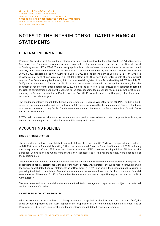## NOTES TO THE INTERIM CONSOLIDATED FINANCIAL **STATEMENTS**

### GENERAL INFORMATION

Progress-Werk Oberkirch AG is a listed stock corporation headquartered at Industriestraße 8, 77704 Oberkirch, Germany. The Company is registered and recorded in the commercial register of the District Court of Freiburg under HRB 490007. The currently applicable Articles of Association are those in the version dated July 28, 2020. The amendments to the Articles of Association resolved by the Annual General Meeting on July 28, 2020, concerning the new Authorized Capital 2020 and the amendment to Section 13 (2) of the Articles of Association (right of participation) will not take effect until they have been entered into the commercial register. The Company applied for entry into the commercial register of new Authorized Capital 2020 on July 31, 2020; the amendment to Section 13 (2) of the Articles of Association will not be applied for entry into the commercial register until after September 3, 2020, since the provision in the Articles of Association regarding the right of participation need only be adapted to the corresponding legal changes resulting from the Act Implementing the Second Shareholders' Rights Directive ("ARUG II") from this date. The Company's fiscal year corresponds to the calendar year.

The condensed interim consolidated financial statements of Progress-Werk Oberkirch AG (PWO) and its subsidiaries for the second quarter and first half-year of 2020 were authorized by the Management Board on the basis of a resolution passed on July 20, 2020 and were subsequently submitted to the Supervisory Board's Audit Committee for examination.

PWO's main business activities are the development and production of advanced metal components and subsystems using lightweight construction for automobile safety and comfort.

### ACCOUNTING POLICIES

### **BASIS OF PRESENTATION**

These condensed interim consolidated financial statements as of June 30, 2020 were prepared in accordance with IAS 34 "Interim Financial Reporting." All of the International Financial Reporting Standards (IFRS), including the interpretation of the IFRS Interpretations Committee (IFRIC) that were adopted into EU law by the European Commission and which were mandatorily applicable as of the reporting date, were applied as of the reporting date.

These interim consolidated financial statements do not contain all of the information and disclosures required for consolidated financial statements at the end of the financial year, and, therefore, should be read in conjunction with the annual consolidated financial statements as of December 31, 2019. In principle, the accounting policies used in preparing the interim consolidated financial statements are the same as those used for the consolidated financial statements as of December 31, 2019. Detailed explanations are provided on page 52 et sqq. of the notes to the 2019 Annual Report.

The interim consolidated financial statements and the interim management report are not subject to an external audit or an auditor's review.

### **CHANGES IN ACCOUNTING POLICIES**

With the exception of the standards and interpretations to be applied for the first time as of January 1, 2020, the same accounting methods that were applied in the preparation of the consolidated financial statements as of December 31, 2019 were used for the condensed interim consolidated financial statements.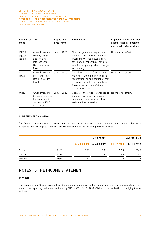| Announce-<br>ment                 | Title                                                                                           | Applicable<br>time frame | <b>Amendments</b>                                                                                                                                                                                         | Impact on the Group's net<br>assets, financial position<br>and results of operations |
|-----------------------------------|-------------------------------------------------------------------------------------------------|--------------------------|-----------------------------------------------------------------------------------------------------------------------------------------------------------------------------------------------------------|--------------------------------------------------------------------------------------|
| IFRS 9<br><b>IAS 39</b><br>IFRS 7 | Amendments to<br><b>IFRS 9, IAS 39</b><br>and IFRS 7:<br>Interest Rate<br>Benchmark Re-<br>form | Jan. 1, 2020             | The changes are a response to<br>the impact of the reform of the<br>Interbank Offered Rates (IBOR)<br>for financial reporting. They pro-<br>vide for temporary relief in hedge<br>accounting.             | No material effect.                                                                  |
| IAS 1<br>IAS <sub>8</sub>         | Amendments to<br>IAS 1 and IAS 8:<br>Definition of Ma-<br>terial                                | Jan. 1, 2020             | Clarification that information is<br>material if the omission, misrep-<br>resentation, or obfuscation of that<br>information could reasonably in-<br>fluence the decision of the pri-<br>mary addressees. | No material effect.                                                                  |
| Misc.                             | Amendments to<br>the references to<br>the framework<br>concept of IFRS<br>Standards             | Jan. 1, 2020             | Update of the cross-references to No material effect.<br>the newly revised framework<br>concept in the respective stand-<br>ards and interpretations.                                                     |                                                                                      |

### **CURRENCY TRANSLATION**

The financial statements of the companies included in the interim consolidated financial statements that were prepared using foreign currencies were translated using the following exchange rates:

|        |            |      | <b>Closing rate</b>         |             | Average rate |
|--------|------------|------|-----------------------------|-------------|--------------|
|        |            |      | Jun. 30, 2020 Jun. 30, 2019 | 1st HY 2020 | 1st HY 2019  |
| China  | <b>CNY</b> | 7.92 | 7.82                        | 7.75        | 7.67         |
| Canada | CAD        | 1.53 | 1.49                        | 1.50        | 1.51         |
| Mexico | USD        | 1.12 | 1.14                        | 1.10        | 1.13         |

### NOTES TO THE INCOME STATEMENT

### **REVENUE**

The breakdown of Group revenue from the sale of products by location is shown in the segment reporting. Revenue in the reporting period was reduced by EURk -307 (p/y: EURk -233) due to the realization of hedging transactions.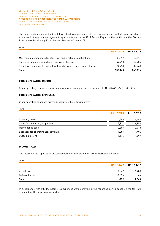The following table shows the breakdown of external revenues into the three strategic product areas, which are explained in the group management report contained in the 2019 Annual Report in the section entitled "Group Principles// Positioning, Expertise and Processes" (page 15).

| <b>EURK</b>                                                         |             |             |
|---------------------------------------------------------------------|-------------|-------------|
|                                                                     | 1st HY 2020 | 1st HY 2019 |
| Mechanical components for electrical and electronic applications    | 35.597      | 50,171      |
| Safety components for airbags, seats and steering                   | 47.790      | 77.205      |
| Structural components and subsystems for vehicle bodies and chassis | 74.773      | 117.740     |
| Total                                                               | 158,160     | 245.116     |

### **OTHER OPERATING INCOME**

Other operating income primarily comprises currency gains in the amount of EURk 3,446 (p/y: EURk 3,415).

#### **OTHER OPERATING EXPENSES**

Other operating expenses primarily comprise the following items:

|--|

|                                     | <b>1st HY 2020</b> | 1st HY 2019 |
|-------------------------------------|--------------------|-------------|
| Currency losses                     | 4,606              | 4,480       |
| Costs for temporary employees       | 3.921              | 6,950       |
| Maintenance costs                   | 2,385              | 2,978       |
| Expenses for operating leases/rents | 1.257              | 1,404       |
| Outgoing freight                    | 1.176              | 1.599       |

### **INCOME TAXES**

The income taxes reported in the consolidated income statement are comprised as follows:

| EURK           |          |                         |
|----------------|----------|-------------------------|
|                |          | 1st HY 2020 1st HY 2019 |
| Actual taxes   | 1,067    | 1,480                   |
| Deferred taxes | $-1,326$ | 64                      |
| Total          | $-259$   | 1,544                   |

In accordance with IAS 34, income tax expenses were deferred in the reporting period based on the tax rate expected for the fiscal year as a whole.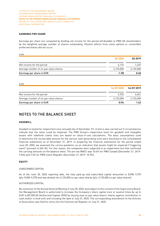### **EARNINGS PER SHARE**

Earnings per share are computed by dividing net income for the period attributable to PWO AG shareholders by the weighted average number of shares outstanding. Dilution effects from stock options or convertible preferred shares did not occur.

|                                       | 02 2020   | Q <sub>2</sub> 2019 |  |
|---------------------------------------|-----------|---------------------|--|
| Net income for the period             | -6.174    | 1.237               |  |
| Average number of no-par value shares | 3.125.000 | 3,125,000           |  |
| Earnings per share in EUR             | $-1.98$   | 0.40                |  |

EURK

EURK

|                                       | 1st HY 2020 | 1st HY 2019 |  |
|---------------------------------------|-------------|-------------|--|
| Net income for the period             | $-2.933$    | 4.451       |  |
| Average number of no-par value shares | 3.125.000   | 3.125.000   |  |
| Earnings per share in EUR             | -0.94       | 1.42        |  |

### NOTES TO THE BALANCE SHEET

### **GOODWILL**

Goodwill is tested for impairment once annually (as of December 31). A test is also carried out if circumstances indicate that the value could be impaired. The PWO Group's impairment tests for goodwill and intangible assets with indefinite useful lives are based on value-in-use calculations. The basic assumptions used to determine the recoverable amount for the various cash-generating units were disclosed in the consolidated financial statements as of December 31, 2019. In preparing the financial statements for the period ended June 30, 2020, we assessed the corona pandemic as an indication that assets might be impaired ("triggering event" pursuant to IAS 36). For this reason, the companies were subjected to an impairment test that confirmed the carrying amounts on the balance sheet. The pre-tax WACC was 10.4% for PWO Canada (December 31, 2019: 9.0%) and 9.3% for PWO Czech Republic (December 31, 2019: 10.9%).

#### **EQUITY**

### SUBSCRIBED CAPITAL

As of the June 30, 2020 reporting date, the fully paid-up and subscribed capital amounted to EURk 9,375 (p/y: EURk 9,375) and was divided into 3,125,000 no-par value shares (p/y: 3,125,000 no-par value shares).

### AUTHORIZED CAPITAL

By resolution of the Annual General Meeting of July 28, 2020, and subject to the consent of the Supervisory Board, the Management Board is authorized to increase the Company's share capital once or several times by up to EUR 4,687,500.00 (Authorized Capital 2020) by issuing new no-par value bearer shares against contribution in cash and/or in kind until and including the date of July 27, 2025. The corresponding amendment to the Articles of Association was filed for entry into the Commercial Register on July 31, 2020.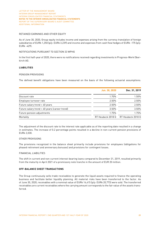### RETAINED EARNINGS AND OTHER EQUITY

As of June 30, 2020, Group equity includes income and expenses arising from the currency translation of foreign subsidiaries of EURk 1,250 (p/y: EURk 3,239) and income and expenses from cash flow hedges of EURk -175 (p/y: EURk -429).

### NOTIFICATIONS PURSUANT TO SECTION 33 WPHG

In the first half-year of 2020, there were no notifications received regarding investments in Progress-Werk Oberkirch AG.

### **LIABILITIES**

### PENSION PROVISIONS

The defined benefit obligations have been measured on the basis of the following actuarial assumptions:

|                                               | Jun. 30, 2020     | Dec. 31, 2019     |
|-----------------------------------------------|-------------------|-------------------|
| Discount rate                                 | 1.70%             | 1.50%             |
| Employee turnover rate                        | 2.50%             | 2.50%             |
| Future salary trend > 40 years                | 2.50%             | 2.50%             |
| Future salary trend < 40 years (career trend) | 3.50%             | 3.50%             |
| Future pension adjustments                    | 1.75%             | 1.75%             |
| Mortality                                     | RT Heubeck 2018 G | RT Heubeck 2018 G |

The adjustment of the discount rate to the interest rate applicable as of the reporting date resulted in a change in estimates. The increase of 0.2 percentage points resulted in a decline in non-current pension provisions of EURk 2,030.

#### OTHER PROVISIONS

The provisions recognized in the balance sheet primarily include provisions for employees (obligations for phased retirement and anniversary bonuses) and provisions for contingent losses.

#### FINANCIAL LIABILITIES

The shift in current and non-current interest-bearing loans compared to December 31, 2019, resulted primarily from the maturity in April 2021 of a promissory note tranche in the amount of EUR 20 million.

### **OFF-BALANCE SHEET TRANSACTIONS**

The Group continuously sells trade receivables to generate the liquid assets required to finance the operating business and facilitate better liquidity planning. All material risks have been transferred to the factor. As of June 30, 2020, receivables with a nominal value of EURk 14,415 (p/y: EURk 20,773) were sold. The transferred receivables are current receivables where the carrying amount corresponds to the fair value of the assets transferred.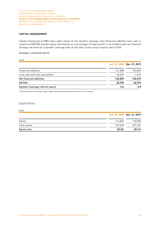### **CAPITAL MANAGEMENT**

Capital monitoring at PWO takes place based on the dynamic leverage ratio (financial liabilities less cash in relation to EBITDA) and the equity ratio (equity as a percentage of total assets). In accordance with our financial strategy, we strive for a dynamic leverage ratio of less than 3 years and an equity ratio of 30%.

### DYNAMIC LEVERAGE RATIO

EURK **EURAL** 

|                                   |           | Jun. 30, 2020 Dec. 31, 2019 |
|-----------------------------------|-----------|-----------------------------|
| <b>Financial liabilities</b>      | 141.088   | 133,840                     |
| Less cash and cash equivalents    | $-18.579$ | $-1,367$                    |
| Net financial liabilities         | 122,509   | 132,473                     |
| EBITDA <sup>1</sup>               | 35,770    | 45.976                      |
| Dynamic leverage ratio (in years) | 3.4       | 2.9                         |

<sup>1</sup> Earnings before interests, taxes, depreciation and amortization of the last 12 months.

#### EQUITY RATIO

### EURK

|              | Jun. 30, 2020 Dec. 31, 2019 |         |
|--------------|-----------------------------|---------|
| Equity       | 114.845                     | 118,058 |
| Total assets | 379.498                     | 391,592 |
| Equity ratio | 30.3%                       | 30.1%   |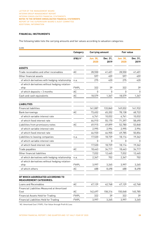### **FINANCIAL INSTRUMENTS**

The following table lists the carrying amounts and fair values according to valuation categories:

EURK

|                                                                    | Category     | <b>Carrying amount</b>  |                  | <b>Fair value</b>       |                  |
|--------------------------------------------------------------------|--------------|-------------------------|------------------|-------------------------|------------------|
|                                                                    | IFRS 91      | <b>Jun. 30,</b><br>2020 | Dec. 31,<br>2019 | <b>Jun. 30,</b><br>2020 | Dec. 31,<br>2019 |
| <b>ASSETS</b>                                                      |              |                         |                  |                         |                  |
| Trade receivables and other receivables                            | AC           | 28,550                  | 41,401           | 28,550                  | 41,401           |
| Other financial assets                                             |              | 597                     | 459              | 597                     | 459              |
| of which derivatives with hedging relationship                     | n.a.         | 275                     | 420              | 275                     | 420              |
| of which derivatives without hedging relation-<br>ship             | <b>FVtPL</b> | 322                     | 39               | 322                     | 39               |
| of which deposits > 3 months                                       | AC           | 0                       | $\Omega$         | $\mathbf{0}$            | 0                |
| Cash and cash equivalents                                          | AC           | 18,579                  | 1,367            | 18,579                  | 1,367            |
| <b>LIABILITIES</b>                                                 |              |                         |                  |                         |                  |
| <b>Financial liabilities</b>                                       |              | 141,087                 | 133,840          | 149,032                 | 141,932          |
| Bank borrowings                                                    | AC           | 73,652                  | 65,202           | 78,138                  | 68,722           |
| of which variable interest rate                                    |              | 6,741                   | 10,032           | 6,741                   | 10,032           |
| of which fixed interest rate                                       |              | 66,910                  | 55,170           | 71,397                  | 58,690           |
| Liabilities from promissory notes                                  | AC           | 49,915                  | 49,899           | 52,780                  | 53,848           |
| of which variable interest rate                                    |              | 2,995                   | 2,994            | 2,995                   | 2,994            |
| of which fixed interest rate                                       |              | 46,920                  | 46,905           | 49,785                  | 50,854           |
| Liabilities to leasing companies                                   | n.a.         | 17,520                  | 18,739           | 18,114                  | 19,362           |
| of which variable interest rate                                    |              | 0                       | n                | O.                      | 0                |
| of which fixed interest rate                                       |              | 17,520                  | 18,739           | 18,114                  | 19,362           |
| Trade payables                                                     | AC           | 18,443                  | 34,717           | 18,443                  | 34,717           |
| Other financial liabilities                                        |              | 7,032                   | 12,465           | 7,032                   | 12,465           |
| of which derivatives with hedging relationship                     | n.a.         | 2,347                   | 702              | 2,347                   | 702              |
| of which derivatives without hedging relation-<br>ship             | <b>FVtPL</b> | 3,997                   | 3,265            | 3,997                   | 3,265            |
| of which others                                                    | АC           | 688                     | 8,498            | 688                     | 8,498            |
| OF WHICH AGGREGATED ACCORDING TO<br><b>MEASUREMENT CATEGORIES:</b> |              |                         |                  |                         |                  |
| Loans and Receivables                                              | AC           | 47,129                  | 42,768           | 47,129                  | 42,768           |
| <b>Financial Liabilities Measured at Amortized</b>                 |              |                         |                  |                         |                  |
| Cost                                                               | AC           | 142,697                 | 158,316          | 150,048                 | 165,785          |
| <b>Financial Assets Held for Trading</b>                           | <b>FVtPL</b> | 322                     | 39               | 322                     | 39               |
| Financial Liabilities Held for Trading                             | <b>FVtPL</b> | 3,997                   | 3,265            | 3,997                   | 3,265            |

<sup>1</sup> AC: Amortized Cost | FVtPL: Fair Value through Profit & Loss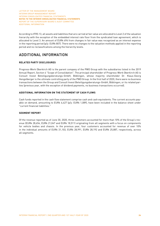According to IFRS 13, all assets and liabilities that are carried at fair value are allocated to Level 2 of the valuation hierarchy with the exception of the embedded interest rate floor from the syndicated loan agreement, which is allocated to Level 3. An amount of EURk 694 from changes in fair value was recognized as an interest expense in the reporting period (p/y: EURk 807). There were no changes to the valuation methods applied in the reporting period and no reclassifications among the hierarchy levels.

### ADDITIONAL INFORMATION

### **RELATED PARTY DISCLOSURES**

Progress-Werk Oberkirch AG is the parent company of the PWO Group with the subsidiaries listed in the 2019 Annual Report, Section 4 "Scope of Consolidation". The principal shareholder of Progress-Werk Oberkirch AG is Consult Invest Beteiligungsberatungs-GmbH, Böblingen, whose majority shareholder Dr. Klaus-Georg Hengstberger is the ultimate controlling party of the PWO Group. In the first half of 2020, there were no business transactions between the Group and Consult Invest Beteiligungsberatungs-GmbH, Böblingen, or its related parties (previous year, with the exception of dividend payments, no business transactions occurred).

### **ADDITIONAL INFORMATION ON THE STATEMENT OF CASH FLOWS**

Cash funds reported in the cash flow statement comprise cash and cash equivalents. The current accounts payable on demand, amounting to EURk 6,427 (p/y: EURk 1,089), have been included in the balance sheet under "current financial liabilities."

### **SEGMENT REPORT**

Of the revenue reported as of June 30, 2020, three customers accounted for more than 10% of the Group's revenue (EURk 28,654, EURk 21,047 and EURk 18,511) originating from all segments with a focus on components for vehicle bodies and chassis. In the previous year, four customers accounted for revenue of over 10% in the individual amounts of EURk 31,103, EURk 28,991, EURk 28,192 and EURk 25,887, respectively, across all segments.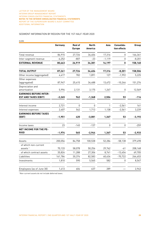### SEGMENT INFORMATION BY REGION FOR THE 1ST HALF-YEAR 2020

| <b>EURK</b>                                                  |          |                                 |                         |          |                            |          |
|--------------------------------------------------------------|----------|---------------------------------|-------------------------|----------|----------------------------|----------|
|                                                              | Germany  | <b>Rest of</b><br><b>Europe</b> | <b>North</b><br>America | Asia     | Consolida-<br>tion effects | Group    |
| Total revenue                                                | 86,915   | 27,726                          | 34,404                  | 17,316   | $\mathbf 0$                | 166,361  |
| Inter-segment revenue                                        | $-6,252$ | $-807$                          | $-23$                   | $-1,119$ | 0                          | $-8,201$ |
| <b>EXTERNAL REVENUE</b>                                      | 80,663   | 26,919                          | 34,381                  | 16,197   | 0                          | 158,160  |
| <b>TOTAL OUTPUT</b>                                          | 87,261   | 27,726                          | 34,404                  | 17,316   | $-8,201$                   | 158,506  |
| Other income (aggregated)                                    | 4,417    | 782                             | 1,891                   | 127      | $-1,992$                   | 5,225    |
| Other expenses<br>(aggregated)                               | 87,947   | 25,415                          | 34,488                  | 13,672   | $-10,246$                  | 151,276  |
| Depreciation and<br>amortization                             | 5,996    | 2,131                           | 3,175                   | 1,267    | 0                          | 12,569   |
| <b>EARNINGS BEFORE INTER-</b><br><b>EST AND TAXES (EBIT)</b> | $-2,265$ | 962                             | $-1,368$                | 2,504    | 53                         | -114     |
| Interest income                                              | 2,721    | $\Omega$                        | 0                       | 1        | $-2,561$                   | 161      |
| Interest expenses                                            | 2,407    | 542                             | 1,713                   | 1,138    | $-2,561$                   | 3,239    |
| <b>EARNINGS BEFORE TAXES</b><br>(EBT)                        | $-1,951$ | 420                             | $-3,081$                | 1,367    | 53                         | $-3,192$ |
| Income taxes                                                 | 23       | $-145$                          | $-137$                  | 0        | $\mathbf 0$                | $-259$   |
| NET INCOME FOR THE PE-<br><b>RIOD</b>                        | $-1,974$ | 565                             | $-2,944$                | 1,367    | 53                         | $-2,933$ |
| Assets                                                       | 200,056  | 84,758                          | 100,538                 | 52,284   | $-58,138$                  | 379,498  |
| of which non-current<br>assets <sup>1</sup>                  | 70,133   | 58,078                          | 50,256                  | 29,762   | -61                        | 208,168  |
| of which contract assets                                     | 35,824   | 11,288                          | 27,306                  | 8,741    | $-13,454$                  | 69,705   |
| Liabilities                                                  | 161,784  | 30,374                          | 82,583                  | 60,634   | $-70,722$                  | 264,653  |
| Investments                                                  | 1,810    | 590                             | 5,565                   | 582      | 0                          | 8,547    |
| Employees (as of June 30)                                    | 1,413    | 604                             | 637                     | 289      |                            | 2,943    |

<sup>1</sup> Non-current assets do not include deferred taxes.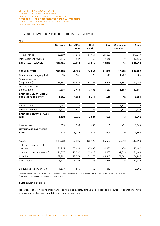### SEGMENT INFORMATION BY REGION FOR THE 1ST HALF-YEAR 2019

| <b>EURK</b>                                                  |          |                     |                                |          |                            |           |
|--------------------------------------------------------------|----------|---------------------|--------------------------------|----------|----------------------------|-----------|
|                                                              | Germany  | Rest of Eu-<br>rope | <b>North</b><br><b>America</b> | Asia     | Consolida-<br>tion effects | Group     |
| Total revenue <sup>1</sup>                                   | 132,600  | 41,555              | 54,061                         | 21,087   | 16                         | 249,319   |
| Inter-segment revenue                                        | $-8,116$ | $-1,437$            | -48                            | $-2,845$ | 0                          | $-12,446$ |
| <b>EXTERNAL REVENUE</b>                                      | 124,484  | 40,118              | 54,013                         | 18,242   | 16                         | 236,873   |
| <b>TOTAL OUTPUT</b>                                          | 133,185  | 41,555              | 54,061                         | 21,088   | $-12,430$                  | 237,459   |
| Other income (aggregated)                                    | 5,395    | 131                 | 1,123                          | 643      | $-1,907$                   | 5,385     |
| Other expenses<br>(aggregated)                               | 128,991  | 35,465              | 49,266                         | 19,604   | $-13,144$                  | 220,182   |
| Depreciation and<br>amortization                             | 7,605    | 2,463               | 2,506                          | 1,487    | $-1,180$                   | 12,881    |
| <b>EARNINGS BEFORE INTER-</b><br><b>EST AND TAXES (EBIT)</b> | 1,984    | 3,758               | 3,412                          | 640      | -13                        | 9,781     |
| Interest income                                              | 2,253    | $\Omega$            | 5                              | 3        | $-2,132$                   | 129       |
| Interest expenses                                            | 3,137    | 434                 | 1,333                          | 1,143    | $-2,132$                   | 3,915     |
| <b>EARNINGS BEFORE TAXES</b><br>(EBT)                        | 1,100    | 3,324               | 2,084                          | $-500$   | $-13$                      | 5,995     |
| Income taxes                                                 | 823      | 309                 | 435                            | 0        | $-23$                      | 1,544     |
| <b>NET INCOME FOR THE PE-</b><br><b>RIOD</b>                 | 277      | 3,015               | 1,649                          | $-500$   | 10                         | 4,451     |
| Assets                                                       | 210,783  | 87,435              | 103,725                        | 54,423   | $-40,873$                  | 415,493   |
| of which non-current<br>assets <sup>1</sup>                  | 76,215   | 55,438              | 47,669                         | 31,390   | $-70$                      | 210,642   |
| of which contract assets 2                                   | 46,397   | 12,082              | 25,829                         | 8,885    | $-1,510$                   | 91,683    |
| Liabilities                                                  | 53,301   | 35,376              | 78,877                         | 62,847   | 74,546                     | 304,947   |
| Investments                                                  | 8,117    | 4,259               | 3,226                          | 1,914    | 0                          | 17,516    |
| Employees (as of June 30)                                    | 1,573    | 666                 | 753                            | 312      |                            | 3,304     |

1 Previous-year figures adjusted due to change in accounting (see section on inventories in the 2019 Annual Report, page 65). 2 Non-current assets do not include deferred taxes.

### **SUBSEQUENT EVENTS**

No events of significant importance to the net assets, financial position and results of operations have occurred after the reporting date that require reporting.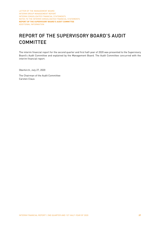## REPORT OF THE SUPERVISORY BOARD'S AUDIT **COMMITTEE**

The interim financial report for the second quarter and first half-year of 2020 was presented to the Supervisory Board's Audit Committee and explained by the Management Board. The Audit Committee concurred with the interim financial report.

Oberkirch, July 27, 2020

The Chairman of the Audit Committee Carsten Claus